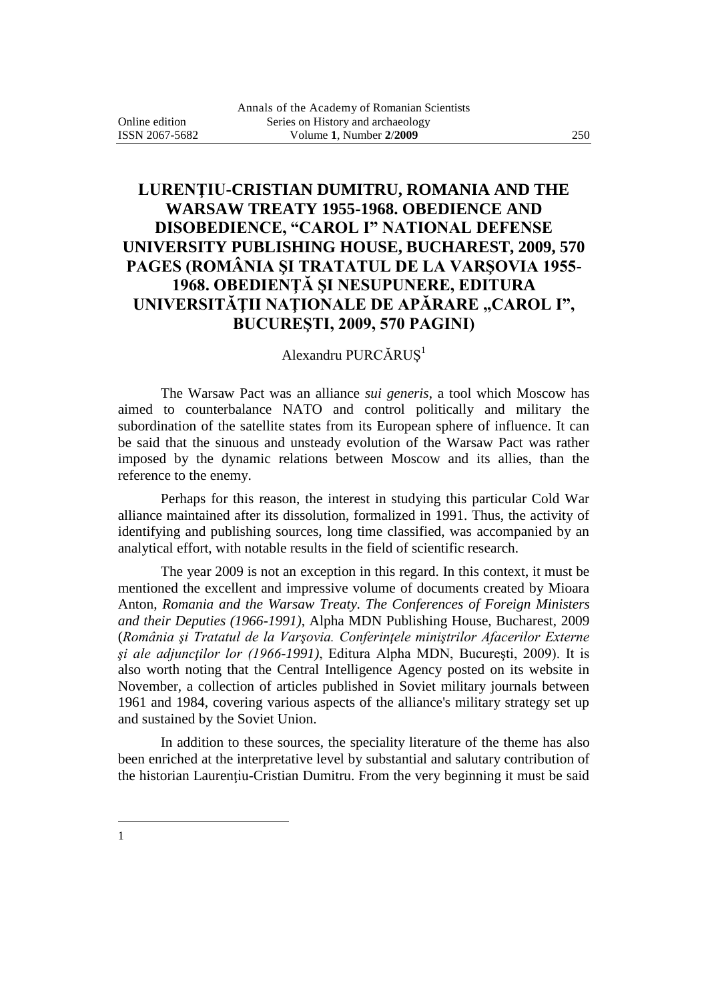## **LURENŢIU-CRISTIAN DUMITRU, ROMANIA AND THE WARSAW TREATY 1955-1968. OBEDIENCE AND DISOBEDIENCE, "CAROL I" NATIONAL DEFENSE UNIVERSITY PUBLISHING HOUSE, BUCHAREST, 2009, 570 PAGES (ROMÂNIA ŞI TRATATUL DE LA VARŞOVIA 1955- 1968. OBEDIENŢĂ ŞI NESUPUNERE, EDITURA UNIVERSITĂȚII NAȚIONALE DE APĂRARE "CAROL I", BUCUREŞTI, 2009, 570 PAGINI)**

## Alexandru PURCĂRUȘ<sup>1</sup>

The Warsaw Pact was an alliance *sui generis*, a tool which Moscow has aimed to counterbalance NATO and control politically and military the subordination of the satellite states from its European sphere of influence. It can be said that the sinuous and unsteady evolution of the Warsaw Pact was rather imposed by the dynamic relations between Moscow and its allies, than the reference to the enemy.

Perhaps for this reason, the interest in studying this particular Cold War alliance maintained after its dissolution, formalized in 1991. Thus, the activity of identifying and publishing sources, long time classified, was accompanied by an analytical effort, with notable results in the field of scientific research.

The year 2009 is not an exception in this regard. In this context, it must be mentioned the excellent and impressive volume of documents created by Mioara Anton, *Romania and the Warsaw Treaty. The Conferences of Foreign Ministers and their Deputies (1966-1991)*, Alpha MDN Publishing House, Bucharest, 2009 (*România şi Tratatul de la Varşovia. Conferinţele miniştrilor Afacerilor Externe şi ale adjuncţilor lor (1966-1991)*, Editura Alpha MDN, Bucureşti, 2009). It is also worth noting that the Central Intelligence Agency posted on its website in November, a collection of articles published in Soviet military journals between 1961 and 1984, covering various aspects of the alliance's military strategy set up and sustained by the Soviet Union.

In addition to these sources, the speciality literature of the theme has also been enriched at the interpretative level by substantial and salutary contribution of the historian Laurenţiu-Cristian Dumitru. From the very beginning it must be said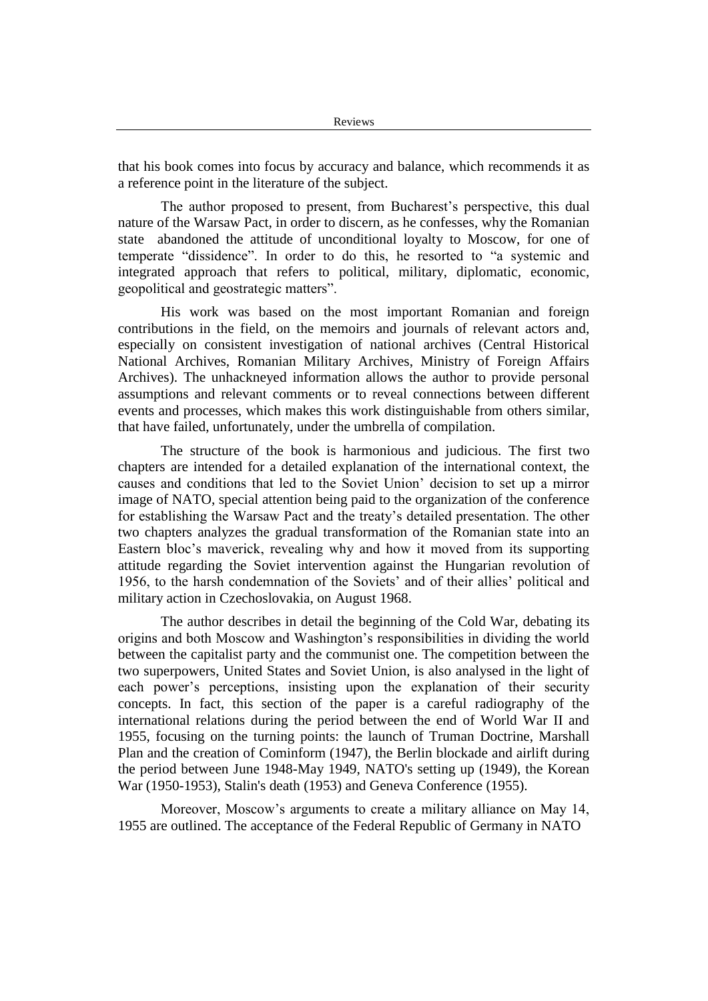that his book comes into focus by accuracy and balance, which recommends it as a reference point in the literature of the subject.

The author proposed to present, from Bucharest's perspective, this dual nature of the Warsaw Pact, in order to discern, as he confesses, why the Romanian state abandoned the attitude of unconditional loyalty to Moscow, for one of temperate "dissidence". In order to do this, he resorted to "a systemic and integrated approach that refers to political, military, diplomatic, economic, geopolitical and geostrategic matters".

His work was based on the most important Romanian and foreign contributions in the field, on the memoirs and journals of relevant actors and, especially on consistent investigation of national archives (Central Historical National Archives, Romanian Military Archives, Ministry of Foreign Affairs Archives). The unhackneyed information allows the author to provide personal assumptions and relevant comments or to reveal connections between different events and processes, which makes this work distinguishable from others similar, that have failed, unfortunately, under the umbrella of compilation.

The structure of the book is harmonious and judicious. The first two chapters are intended for a detailed explanation of the international context, the causes and conditions that led to the Soviet Union" decision to set up a mirror image of NATO, special attention being paid to the organization of the conference for establishing the Warsaw Pact and the treaty"s detailed presentation. The other two chapters analyzes the gradual transformation of the Romanian state into an Eastern bloc"s maverick, revealing why and how it moved from its supporting attitude regarding the Soviet intervention against the Hungarian revolution of 1956, to the harsh condemnation of the Soviets" and of their allies" political and military action in Czechoslovakia, on August 1968.

The author describes in detail the beginning of the Cold War, debating its origins and both Moscow and Washington"s responsibilities in dividing the world between the capitalist party and the communist one. The competition between the two superpowers, United States and Soviet Union, is also analysed in the light of each power's perceptions, insisting upon the explanation of their security concepts. In fact, this section of the paper is a careful radiography of the international relations during the period between the end of World War II and 1955, focusing on the turning points: the launch of Truman Doctrine, Marshall Plan and the creation of Cominform (1947), the Berlin blockade and airlift during the period between June 1948-May 1949, NATO's setting up (1949), the Korean War (1950-1953), Stalin's death (1953) and Geneva Conference (1955).

Moreover, Moscow's arguments to create a military alliance on May 14, 1955 are outlined. The acceptance of the Federal Republic of Germany in NATO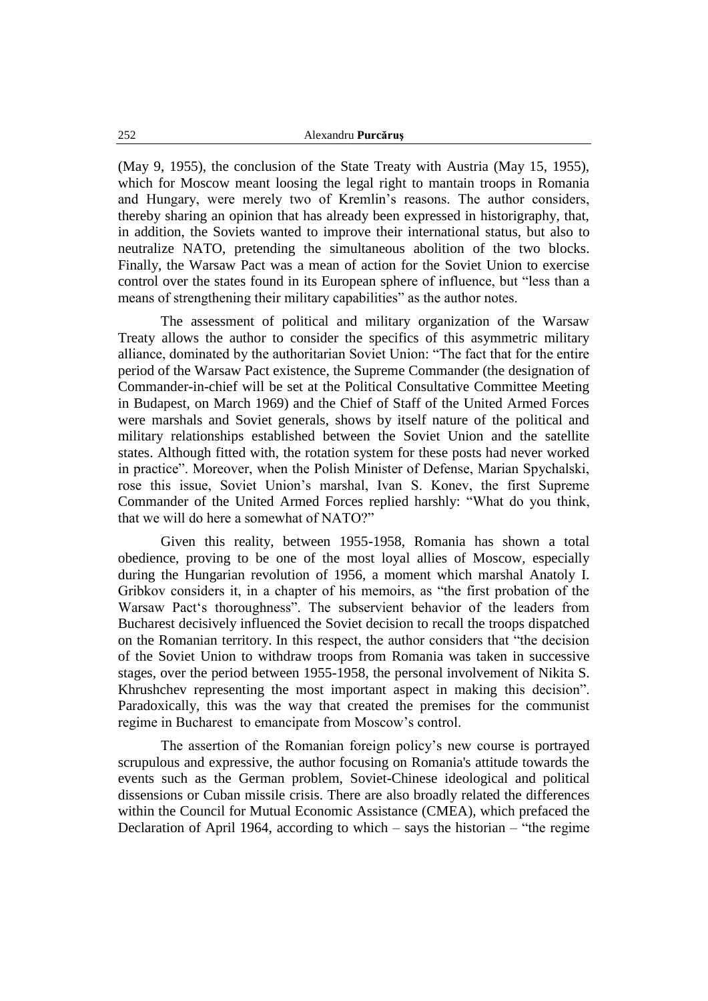(May 9, 1955), the conclusion of the State Treaty with Austria (May 15, 1955), which for Moscow meant loosing the legal right to mantain troops in Romania and Hungary, were merely two of Kremlin"s reasons. The author considers, thereby sharing an opinion that has already been expressed in historigraphy, that, in addition, the Soviets wanted to improve their international status, but also to neutralize NATO, pretending the simultaneous abolition of the two blocks. Finally, the Warsaw Pact was a mean of action for the Soviet Union to exercise control over the states found in its European sphere of influence, but "less than a means of strengthening their military capabilities" as the author notes.

The assessment of political and military organization of the Warsaw Treaty allows the author to consider the specifics of this asymmetric military alliance, dominated by the authoritarian Soviet Union: "The fact that for the entire period of the Warsaw Pact existence, the Supreme Commander (the designation of Commander-in-chief will be set at the Political Consultative Committee Meeting in Budapest, on March 1969) and the Chief of Staff of the United Armed Forces were marshals and Soviet generals, shows by itself nature of the political and military relationships established between the Soviet Union and the satellite states. Although fitted with, the rotation system for these posts had never worked in practice". Moreover, when the Polish Minister of Defense, Marian Spychalski, rose this issue, Soviet Union"s marshal, Ivan S. Konev, the first Supreme Commander of the United Armed Forces replied harshly: "What do you think, that we will do here a somewhat of NATO?"

Given this reality, between 1955-1958, Romania has shown a total obedience, proving to be one of the most loyal allies of Moscow, especially during the Hungarian revolution of 1956, a moment which marshal Anatoly I. Gribkov considers it, in a chapter of his memoirs, as "the first probation of the Warsaw Pact"s thoroughness". The subservient behavior of the leaders from Bucharest decisively influenced the Soviet decision to recall the troops dispatched on the Romanian territory. In this respect, the author considers that "the decision of the Soviet Union to withdraw troops from Romania was taken in successive stages, over the period between 1955-1958, the personal involvement of Nikita S. Khrushchev representing the most important aspect in making this decision". Paradoxically, this was the way that created the premises for the communist regime in Bucharest to emancipate from Moscow's control.

The assertion of the Romanian foreign policy"s new course is portrayed scrupulous and expressive, the author focusing on Romania's attitude towards the events such as the German problem, Soviet-Chinese ideological and political dissensions or Cuban missile crisis. There are also broadly related the differences within the Council for Mutual Economic Assistance (CMEA), which prefaced the Declaration of April 1964, according to which – says the historian – "the regime"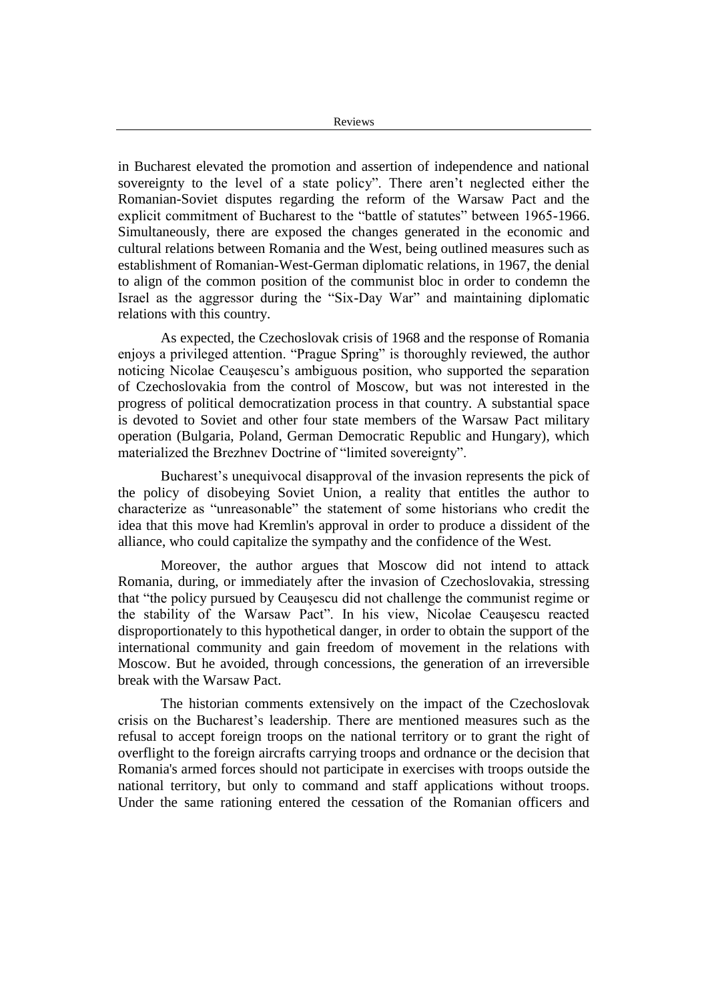in Bucharest elevated the promotion and assertion of independence and national sovereignty to the level of a state policy". There aren"t neglected either the Romanian-Soviet disputes regarding the reform of the Warsaw Pact and the explicit commitment of Bucharest to the "battle of statutes" between 1965-1966. Simultaneously, there are exposed the changes generated in the economic and cultural relations between Romania and the West, being outlined measures such as establishment of Romanian-West-German diplomatic relations, in 1967, the denial to align of the common position of the communist bloc in order to condemn the Israel as the aggressor during the "Six-Day War" and maintaining diplomatic relations with this country.

As expected, the Czechoslovak crisis of 1968 and the response of Romania enjoys a privileged attention. "Prague Spring" is thoroughly reviewed, the author noticing Nicolae Ceauşescu"s ambiguous position, who supported the separation of Czechoslovakia from the control of Moscow, but was not interested in the progress of political democratization process in that country. A substantial space is devoted to Soviet and other four state members of the Warsaw Pact military operation (Bulgaria, Poland, German Democratic Republic and Hungary), which materialized the Brezhnev Doctrine of "limited sovereignty".

Bucharest's unequivocal disapproval of the invasion represents the pick of the policy of disobeying Soviet Union, a reality that entitles the author to characterize as "unreasonable" the statement of some historians who credit the idea that this move had Kremlin's approval in order to produce a dissident of the alliance, who could capitalize the sympathy and the confidence of the West.

Moreover, the author argues that Moscow did not intend to attack Romania, during, or immediately after the invasion of Czechoslovakia, stressing that "the policy pursued by Ceauşescu did not challenge the communist regime or the stability of the Warsaw Pact". In his view, Nicolae Ceauşescu reacted disproportionately to this hypothetical danger, in order to obtain the support of the international community and gain freedom of movement in the relations with Moscow. But he avoided, through concessions, the generation of an irreversible break with the Warsaw Pact.

The historian comments extensively on the impact of the Czechoslovak crisis on the Bucharest"s leadership. There are mentioned measures such as the refusal to accept foreign troops on the national territory or to grant the right of overflight to the foreign aircrafts carrying troops and ordnance or the decision that Romania's armed forces should not participate in exercises with troops outside the national territory, but only to command and staff applications without troops. Under the same rationing entered the cessation of the Romanian officers and